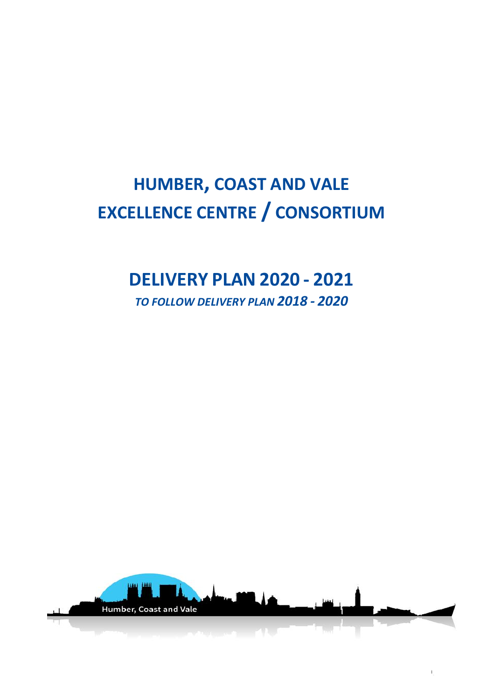# **HUMBER, COAST AND VALE EXCELLENCE CENTRE / CONSORTIUM**

## **DELIVERY PLAN 2020 - 2021**

*TO FOLLOW DELIVERY PLAN 2018 - 2020*

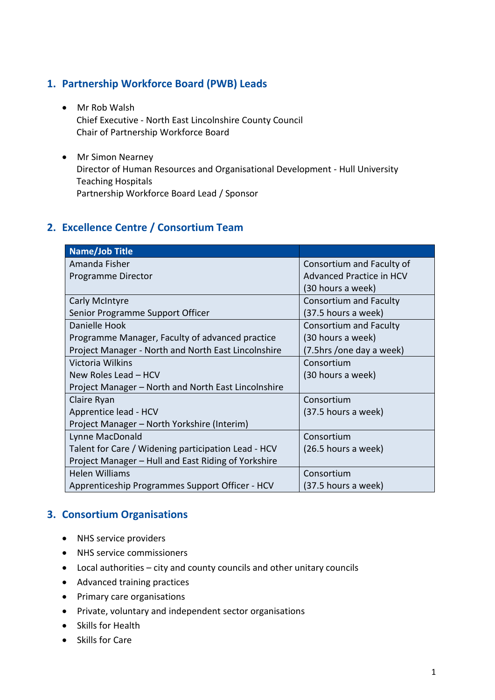#### **1. Partnership Workforce Board (PWB) Leads**

- Mr Rob Walsh Chief Executive - North East Lincolnshire County Council Chair of Partnership Workforce Board
- Mr Simon Nearney Director of Human Resources and Organisational Development - Hull University Teaching Hospitals Partnership Workforce Board Lead / Sponsor

#### **2. Excellence Centre / Consortium Team**

| Name/Job Title                                      |                               |
|-----------------------------------------------------|-------------------------------|
| Amanda Fisher                                       | Consortium and Faculty of     |
| Programme Director                                  | Advanced Practice in HCV      |
|                                                     | (30 hours a week)             |
| Carly McIntyre                                      | <b>Consortium and Faculty</b> |
| Senior Programme Support Officer                    | (37.5 hours a week)           |
| Danielle Hook                                       | <b>Consortium and Faculty</b> |
| Programme Manager, Faculty of advanced practice     | (30 hours a week)             |
| Project Manager - North and North East Lincolnshire | (7.5hrs /one day a week)      |
| Victoria Wilkins                                    | Consortium                    |
| New Roles Lead – HCV                                | (30 hours a week)             |
| Project Manager – North and North East Lincolnshire |                               |
| Claire Ryan                                         | Consortium                    |
| Apprentice lead - HCV                               | (37.5 hours a week)           |
| Project Manager - North Yorkshire (Interim)         |                               |
| Lynne MacDonald                                     | Consortium                    |
| Talent for Care / Widening participation Lead - HCV | (26.5 hours a week)           |
| Project Manager - Hull and East Riding of Yorkshire |                               |
| <b>Helen Williams</b>                               | Consortium                    |
| Apprenticeship Programmes Support Officer - HCV     | (37.5 hours a week)           |

#### **3. Consortium Organisations**

- NHS service providers
- NHS service commissioners
- Local authorities city and county councils and other unitary councils
- Advanced training practices
- Primary care organisations
- Private, voluntary and independent sector organisations
- Skills for Health
- Skills for Care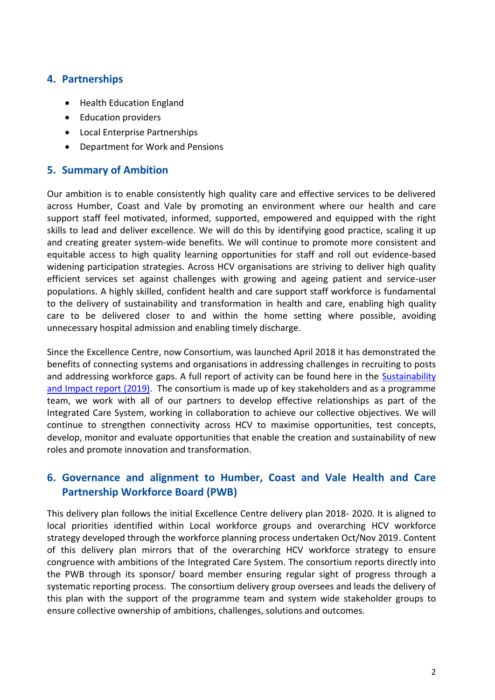#### **4. Partnerships**

- Health Education England
- Education providers
- Local Enterprise Partnerships
- Department for Work and Pensions

#### **5. Summary of Ambition**

Our ambition is to enable consistently high quality care and effective services to be delivered across Humber, Coast and Vale by promoting an environment where our health and care support staff feel motivated, informed, supported, empowered and equipped with the right skills to lead and deliver excellence. We will do this by identifying good practice, scaling it up and creating greater system-wide benefits. We will continue to promote more consistent and equitable access to high quality learning opportunities for staff and roll out evidence-based widening participation strategies. Across HCV organisations are striving to deliver high quality efficient services set against challenges with growing and ageing patient and service-user populations. A highly skilled, confident health and care support staff workforce is fundamental to the delivery of sustainability and transformation in health and care, enabling high quality care to be delivered closer to and within the home setting where possible, avoiding unnecessary hospital admission and enabling timely discharge.

Since the Excellence Centre, now Consortium, was launched April 2018 it has demonstrated the benefits of connecting systems and organisations in addressing challenges in recruiting to posts and addressing workforce gaps. A full report of activity can be found here in the Sustainability [and Impact report](https://humbercoastandvale.org.uk/wp-content/uploads/2020/01/Exc-Centre-I-and-S-FINAL-send-external.pdf) (2019). The consortium is made up of key stakeholders and as a programme team, we work with all of our partners to develop effective relationships as part of the Integrated Care System, working in collaboration to achieve our collective objectives. We will continue to strengthen connectivity across HCV to maximise opportunities, test concepts, develop, monitor and evaluate opportunities that enable the creation and sustainability of new roles and promote innovation and transformation.

#### **6. Governance and alignment to Humber, Coast and Vale Health and Care Partnership Workforce Board (PWB)**

This delivery plan follows the initial Excellence Centre delivery plan 2018- 2020. It is aligned to local priorities identified within Local workforce groups and overarching HCV workforce strategy developed through the workforce planning process undertaken Oct/Nov 2019. Content of this delivery plan mirrors that of the overarching HCV workforce strategy to ensure congruence with ambitions of the Integrated Care System. The consortium reports directly into the PWB through its sponsor/ board member ensuring regular sight of progress through a systematic reporting process. The consortium delivery group oversees and leads the delivery of this plan with the support of the programme team and system wide stakeholder groups to ensure collective ownership of ambitions, challenges, solutions and outcomes.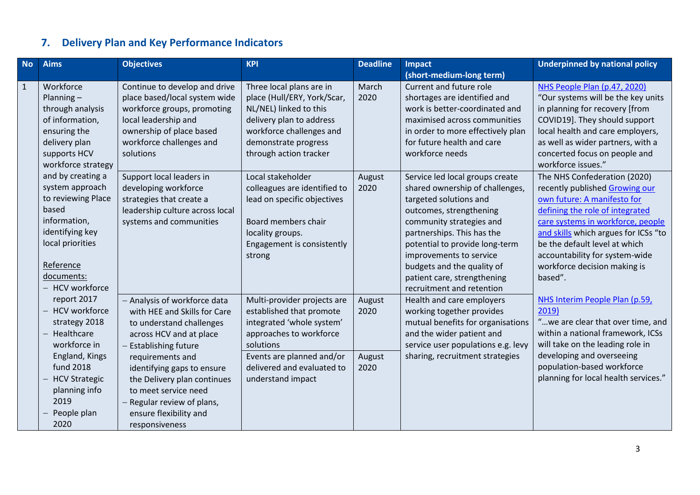## **7. Delivery Plan and Key Performance Indicators**

| <b>No</b>    | <b>Aims</b>                                                                                                                                                                                                                                                                                                         | <b>Objectives</b>                                                                                                                                                                                                                                                                                                                  | <b>KPI</b>                                                                                                                                                                                                   | <b>Deadline</b>                  | <b>Impact</b>                                                                                                                                                                                                                                                                                                                            | <b>Underpinned by national policy</b>                                                                                                                                                                                                                                                                                       |
|--------------|---------------------------------------------------------------------------------------------------------------------------------------------------------------------------------------------------------------------------------------------------------------------------------------------------------------------|------------------------------------------------------------------------------------------------------------------------------------------------------------------------------------------------------------------------------------------------------------------------------------------------------------------------------------|--------------------------------------------------------------------------------------------------------------------------------------------------------------------------------------------------------------|----------------------------------|------------------------------------------------------------------------------------------------------------------------------------------------------------------------------------------------------------------------------------------------------------------------------------------------------------------------------------------|-----------------------------------------------------------------------------------------------------------------------------------------------------------------------------------------------------------------------------------------------------------------------------------------------------------------------------|
|              |                                                                                                                                                                                                                                                                                                                     |                                                                                                                                                                                                                                                                                                                                    |                                                                                                                                                                                                              |                                  | (short-medium-long term)                                                                                                                                                                                                                                                                                                                 |                                                                                                                                                                                                                                                                                                                             |
| $\mathbf{1}$ | Workforce<br>Planning $-$<br>through analysis<br>of information,<br>ensuring the<br>delivery plan<br>supports HCV<br>workforce strategy<br>and by creating a<br>system approach<br>to reviewing Place<br>based<br>information,<br>identifying key<br>local priorities<br>Reference<br>documents:<br>- HCV workforce | Continue to develop and drive<br>place based/local system wide<br>workforce groups, promoting<br>local leadership and<br>ownership of place based<br>workforce challenges and<br>solutions                                                                                                                                         | Three local plans are in<br>place (Hull/ERY, York/Scar,<br>NL/NEL) linked to this<br>delivery plan to address<br>workforce challenges and<br>demonstrate progress<br>through action tracker                  | March<br>2020                    | Current and future role<br>shortages are identified and<br>work is better-coordinated and<br>maximised across communities<br>in order to more effectively plan<br>for future health and care<br>workforce needs                                                                                                                          | NHS People Plan (p.47, 2020)<br>"Our systems will be the key units<br>in planning for recovery [from<br>COVID19]. They should support<br>local health and care employers,<br>as well as wider partners, with a<br>concerted focus on people and<br>workforce issues."                                                       |
|              |                                                                                                                                                                                                                                                                                                                     | Support local leaders in<br>developing workforce<br>strategies that create a<br>leadership culture across local<br>systems and communities                                                                                                                                                                                         | Local stakeholder<br>colleagues are identified to<br>lead on specific objectives<br>Board members chair<br>locality groups.<br>Engagement is consistently<br>strong                                          | August<br>2020                   | Service led local groups create<br>shared ownership of challenges,<br>targeted solutions and<br>outcomes, strengthening<br>community strategies and<br>partnerships. This has the<br>potential to provide long-term<br>improvements to service<br>budgets and the quality of<br>patient care, strengthening<br>recruitment and retention | The NHS Confederation (2020)<br>recently published Growing our<br>own future: A manifesto for<br>defining the role of integrated<br>care systems in workforce, people<br>and skills which argues for ICSs "to<br>be the default level at which<br>accountability for system-wide<br>workforce decision making is<br>based". |
|              | report 2017<br><b>HCV</b> workforce<br>strategy 2018<br>Healthcare<br>workforce in<br>England, Kings<br><b>fund 2018</b><br><b>HCV Strategic</b><br>planning info<br>2019<br>People plan<br>2020                                                                                                                    | - Analysis of workforce data<br>with HEE and Skills for Care<br>to understand challenges<br>across HCV and at place<br><b>Establishing future</b><br>requirements and<br>identifying gaps to ensure<br>the Delivery plan continues<br>to meet service need<br>Regular review of plans,<br>ensure flexibility and<br>responsiveness | Multi-provider projects are<br>established that promote<br>integrated 'whole system'<br>approaches to workforce<br>solutions<br>Events are planned and/or<br>delivered and evaluated to<br>understand impact | August<br>2020<br>August<br>2020 | Health and care employers<br>working together provides<br>mutual benefits for organisations<br>and the wider patient and<br>service user populations e.g. levy<br>sharing, recruitment strategies                                                                                                                                        | NHS Interim People Plan (p.59,<br>2019<br>"we are clear that over time, and<br>within a national framework, ICSs<br>will take on the leading role in<br>developing and overseeing<br>population-based workforce<br>planning for local health services."                                                                     |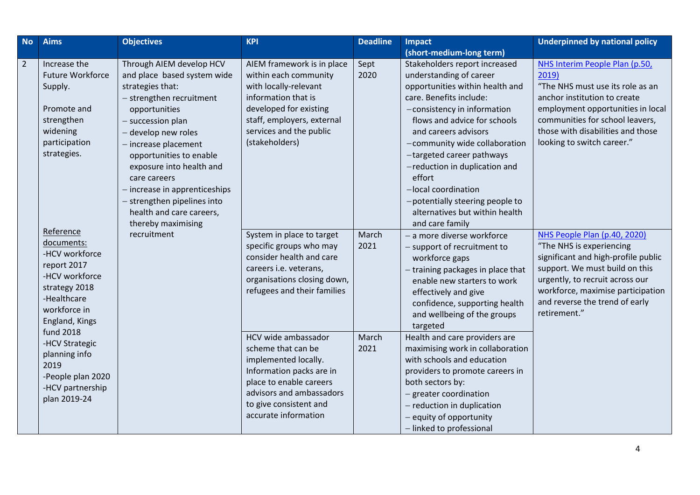| <b>No</b>      | <b>Aims</b>                                                                                                                                  | <b>Objectives</b>                                                                                                                                                                                                                                                                                                                                               | <b>KPI</b>                                                                                                                                                                                               | <b>Deadline</b> | <b>Impact</b>                                                                                                                                                                                                                                                                                                                                                                                                                                  | <b>Underpinned by national policy</b>                                                                                                                                                                                                                       |
|----------------|----------------------------------------------------------------------------------------------------------------------------------------------|-----------------------------------------------------------------------------------------------------------------------------------------------------------------------------------------------------------------------------------------------------------------------------------------------------------------------------------------------------------------|----------------------------------------------------------------------------------------------------------------------------------------------------------------------------------------------------------|-----------------|------------------------------------------------------------------------------------------------------------------------------------------------------------------------------------------------------------------------------------------------------------------------------------------------------------------------------------------------------------------------------------------------------------------------------------------------|-------------------------------------------------------------------------------------------------------------------------------------------------------------------------------------------------------------------------------------------------------------|
| $\overline{2}$ | Increase the<br><b>Future Workforce</b><br>Supply.<br>Promote and<br>strengthen<br>widening<br>participation<br>strategies.                  | Through AIEM develop HCV<br>and place based system wide<br>strategies that:<br>- strengthen recruitment<br>opportunities<br>- succession plan<br>- develop new roles<br>- increase placement<br>opportunities to enable<br>exposure into health and<br>care careers<br>- increase in apprenticeships<br>- strengthen pipelines into<br>health and care careers, | AIEM framework is in place<br>within each community<br>with locally-relevant<br>information that is<br>developed for existing<br>staff, employers, external<br>services and the public<br>(stakeholders) | Sept<br>2020    | (short-medium-long term)<br>Stakeholders report increased<br>understanding of career<br>opportunities within health and<br>care. Benefits include:<br>-consistency in information<br>flows and advice for schools<br>and careers advisors<br>-community wide collaboration<br>-targeted career pathways<br>-reduction in duplication and<br>effort<br>-local coordination<br>-potentially steering people to<br>alternatives but within health | NHS Interim People Plan (p.50,<br>2019)<br>"The NHS must use its role as an<br>anchor institution to create<br>employment opportunities in local<br>communities for school leavers,<br>those with disabilities and those<br>looking to switch career."      |
|                | Reference<br>documents:<br>-HCV workforce<br>report 2017<br>-HCV workforce<br>strategy 2018<br>-Healthcare<br>workforce in<br>England, Kings | thereby maximising<br>recruitment                                                                                                                                                                                                                                                                                                                               | System in place to target<br>specific groups who may<br>consider health and care<br>careers i.e. veterans,<br>organisations closing down,<br>refugees and their families                                 | March<br>2021   | and care family<br>- a more diverse workforce<br>- support of recruitment to<br>workforce gaps<br>- training packages in place that<br>enable new starters to work<br>effectively and give<br>confidence, supporting health<br>and wellbeing of the groups<br>targeted                                                                                                                                                                         | NHS People Plan (p.40, 2020)<br>"The NHS is experiencing<br>significant and high-profile public<br>support. We must build on this<br>urgently, to recruit across our<br>workforce, maximise participation<br>and reverse the trend of early<br>retirement." |
|                | <b>fund 2018</b><br>-HCV Strategic<br>planning info<br>2019<br>-People plan 2020<br>-HCV partnership<br>plan 2019-24                         |                                                                                                                                                                                                                                                                                                                                                                 | HCV wide ambassador<br>scheme that can be<br>implemented locally.<br>Information packs are in<br>place to enable careers<br>advisors and ambassadors<br>to give consistent and<br>accurate information   | March<br>2021   | Health and care providers are<br>maximising work in collaboration<br>with schools and education<br>providers to promote careers in<br>both sectors by:<br>- greater coordination<br>- reduction in duplication<br>- equity of opportunity<br>- linked to professional                                                                                                                                                                          |                                                                                                                                                                                                                                                             |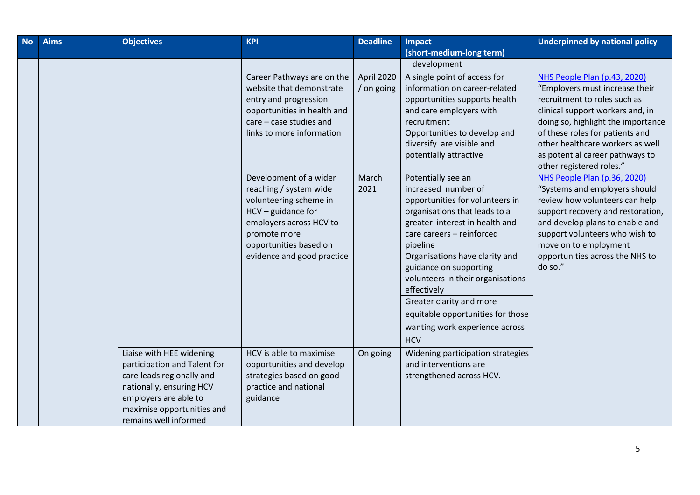| <b>No</b> | <b>Aims</b> | <b>Objectives</b>                                                                                                                                                                                 | <b>KPI</b>                                                                                                                                                                                            | <b>Deadline</b>          | Impact                                                                                                                                                                                                                                                                                                                                                                                                                    | <b>Underpinned by national policy</b>                                                                                                                                                                                                                                            |
|-----------|-------------|---------------------------------------------------------------------------------------------------------------------------------------------------------------------------------------------------|-------------------------------------------------------------------------------------------------------------------------------------------------------------------------------------------------------|--------------------------|---------------------------------------------------------------------------------------------------------------------------------------------------------------------------------------------------------------------------------------------------------------------------------------------------------------------------------------------------------------------------------------------------------------------------|----------------------------------------------------------------------------------------------------------------------------------------------------------------------------------------------------------------------------------------------------------------------------------|
|           |             |                                                                                                                                                                                                   |                                                                                                                                                                                                       |                          | (short-medium-long term)                                                                                                                                                                                                                                                                                                                                                                                                  |                                                                                                                                                                                                                                                                                  |
|           |             |                                                                                                                                                                                                   |                                                                                                                                                                                                       |                          | development                                                                                                                                                                                                                                                                                                                                                                                                               |                                                                                                                                                                                                                                                                                  |
|           |             |                                                                                                                                                                                                   | Career Pathways are on the<br>website that demonstrate<br>entry and progression<br>opportunities in health and                                                                                        | April 2020<br>/ on going | A single point of access for<br>information on career-related<br>opportunities supports health<br>and care employers with                                                                                                                                                                                                                                                                                                 | NHS People Plan (p.43, 2020)<br>"Employers must increase their<br>recruitment to roles such as<br>clinical support workers and, in                                                                                                                                               |
|           |             |                                                                                                                                                                                                   | care - case studies and<br>links to more information                                                                                                                                                  |                          | recruitment<br>Opportunities to develop and<br>diversify are visible and<br>potentially attractive                                                                                                                                                                                                                                                                                                                        | doing so, highlight the importance<br>of these roles for patients and<br>other healthcare workers as well<br>as potential career pathways to<br>other registered roles."                                                                                                         |
|           |             |                                                                                                                                                                                                   | Development of a wider<br>reaching / system wide<br>volunteering scheme in<br>$HCV -$ guidance for<br>employers across HCV to<br>promote more<br>opportunities based on<br>evidence and good practice | March<br>2021            | Potentially see an<br>increased number of<br>opportunities for volunteers in<br>organisations that leads to a<br>greater interest in health and<br>care careers - reinforced<br>pipeline<br>Organisations have clarity and<br>guidance on supporting<br>volunteers in their organisations<br>effectively<br>Greater clarity and more<br>equitable opportunities for those<br>wanting work experience across<br><b>HCV</b> | NHS People Plan (p.36, 2020)<br>"Systems and employers should<br>review how volunteers can help<br>support recovery and restoration,<br>and develop plans to enable and<br>support volunteers who wish to<br>move on to employment<br>opportunities across the NHS to<br>do so." |
|           |             | Liaise with HEE widening<br>participation and Talent for<br>care leads regionally and<br>nationally, ensuring HCV<br>employers are able to<br>maximise opportunities and<br>remains well informed | HCV is able to maximise<br>opportunities and develop<br>strategies based on good<br>practice and national<br>guidance                                                                                 | On going                 | Widening participation strategies<br>and interventions are<br>strengthened across HCV.                                                                                                                                                                                                                                                                                                                                    |                                                                                                                                                                                                                                                                                  |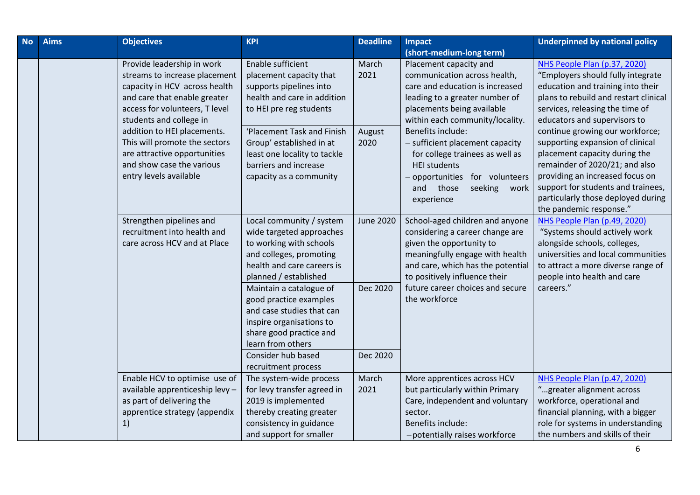| <b>No</b> | <b>Aims</b> | <b>Objectives</b>                                                                                                                                                                         | <b>KPI</b>                                                                                                                                                        | <b>Deadline</b>                                   | <b>Impact</b>                                                                                                                                                                                           | <b>Underpinned by national policy</b>                                                                                                                                                                                                                                            |
|-----------|-------------|-------------------------------------------------------------------------------------------------------------------------------------------------------------------------------------------|-------------------------------------------------------------------------------------------------------------------------------------------------------------------|---------------------------------------------------|---------------------------------------------------------------------------------------------------------------------------------------------------------------------------------------------------------|----------------------------------------------------------------------------------------------------------------------------------------------------------------------------------------------------------------------------------------------------------------------------------|
|           |             |                                                                                                                                                                                           |                                                                                                                                                                   |                                                   | (short-medium-long term)                                                                                                                                                                                |                                                                                                                                                                                                                                                                                  |
|           |             | Provide leadership in work<br>streams to increase placement<br>capacity in HCV across health<br>and care that enable greater<br>access for volunteers, T level<br>students and college in | Enable sufficient<br>placement capacity that<br>supports pipelines into<br>health and care in addition<br>to HEI pre reg students                                 | March<br>2021                                     | Placement capacity and<br>communication across health,<br>care and education is increased<br>leading to a greater number of<br>placements being available<br>within each community/locality.            | NHS People Plan (p.37, 2020)<br>"Employers should fully integrate<br>education and training into their<br>plans to rebuild and restart clinical<br>services, releasing the time of<br>educators and supervisors to                                                               |
|           |             | addition to HEI placements.<br>This will promote the sectors<br>are attractive opportunities<br>and show case the various<br>entry levels available                                       | 'Placement Task and Finish<br>Group' established in at<br>least one locality to tackle<br>barriers and increase<br>capacity as a community                        | August<br>2020                                    | Benefits include:<br>- sufficient placement capacity<br>for college trainees as well as<br><b>HEI students</b><br>opportunities for volunteers<br>seeking<br>and<br>those<br>work<br>experience         | continue growing our workforce;<br>supporting expansion of clinical<br>placement capacity during the<br>remainder of 2020/21; and also<br>providing an increased focus on<br>support for students and trainees,<br>particularly those deployed during<br>the pandemic response." |
|           |             | Strengthen pipelines and<br>recruitment into health and<br>care across HCV and at Place                                                                                                   | Local community / system<br>wide targeted approaches<br>to working with schools<br>and colleges, promoting<br>health and care careers is<br>planned / established | <b>June 2020</b>                                  | School-aged children and anyone<br>considering a career change are<br>given the opportunity to<br>meaningfully engage with health<br>and care, which has the potential<br>to positively influence their | NHS People Plan (p.49, 2020)<br>"Systems should actively work<br>alongside schools, colleges,<br>universities and local communities<br>to attract a more diverse range of<br>people into health and care                                                                         |
|           |             | Maintain a catalogue of<br>good practice examples<br>and case studies that can<br>inspire organisations to<br>share good practice and<br>learn from others<br>Consider hub based          | Dec 2020<br>Dec 2020                                                                                                                                              | future career choices and secure<br>the workforce | careers."                                                                                                                                                                                               |                                                                                                                                                                                                                                                                                  |
|           |             |                                                                                                                                                                                           | recruitment process                                                                                                                                               |                                                   |                                                                                                                                                                                                         |                                                                                                                                                                                                                                                                                  |
|           |             | Enable HCV to optimise use of<br>available apprenticeship levy -<br>as part of delivering the<br>apprentice strategy (appendix<br>1)                                                      | The system-wide process<br>for levy transfer agreed in<br>2019 is implemented<br>thereby creating greater<br>consistency in guidance<br>and support for smaller   | March<br>2021                                     | More apprentices across HCV<br>but particularly within Primary<br>Care, independent and voluntary<br>sector.<br>Benefits include:<br>-potentially raises workforce                                      | NHS People Plan (p.47, 2020)<br>"greater alignment across<br>workforce, operational and<br>financial planning, with a bigger<br>role for systems in understanding<br>the numbers and skills of their                                                                             |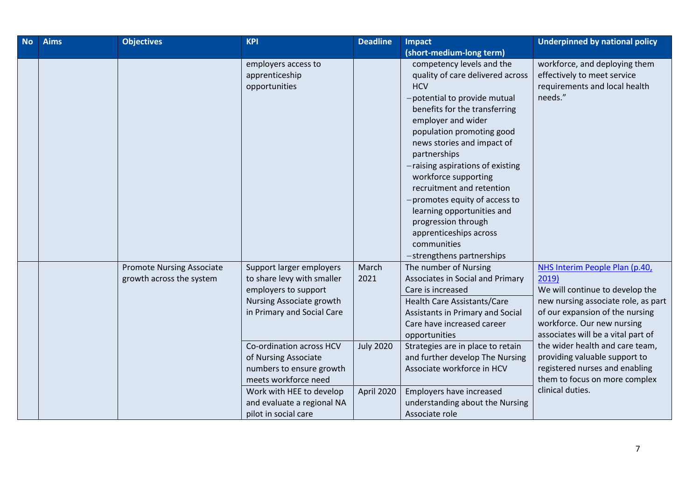| <b>No</b> | <b>Aims</b> | <b>Objectives</b>                                            | <b>KPI</b>                                                                                                                                                                                                                                                                                                                         | <b>Deadline</b>                                 | <b>Impact</b>                                                                                                                                                                                                                                                                                                                                                                                                                                                                                      | <b>Underpinned by national policy</b>                                                                                                                                                                                                                                                                                                                                               |
|-----------|-------------|--------------------------------------------------------------|------------------------------------------------------------------------------------------------------------------------------------------------------------------------------------------------------------------------------------------------------------------------------------------------------------------------------------|-------------------------------------------------|----------------------------------------------------------------------------------------------------------------------------------------------------------------------------------------------------------------------------------------------------------------------------------------------------------------------------------------------------------------------------------------------------------------------------------------------------------------------------------------------------|-------------------------------------------------------------------------------------------------------------------------------------------------------------------------------------------------------------------------------------------------------------------------------------------------------------------------------------------------------------------------------------|
|           |             |                                                              |                                                                                                                                                                                                                                                                                                                                    |                                                 | (short-medium-long term)                                                                                                                                                                                                                                                                                                                                                                                                                                                                           |                                                                                                                                                                                                                                                                                                                                                                                     |
|           |             |                                                              | employers access to<br>apprenticeship<br>opportunities                                                                                                                                                                                                                                                                             |                                                 | competency levels and the<br>quality of care delivered across<br><b>HCV</b><br>-potential to provide mutual<br>benefits for the transferring<br>employer and wider<br>population promoting good<br>news stories and impact of<br>partnerships<br>-raising aspirations of existing<br>workforce supporting<br>recruitment and retention<br>-promotes equity of access to<br>learning opportunities and<br>progression through<br>apprenticeships across<br>communities<br>-strengthens partnerships | workforce, and deploying them<br>effectively to meet service<br>requirements and local health<br>needs."                                                                                                                                                                                                                                                                            |
|           |             | <b>Promote Nursing Associate</b><br>growth across the system | Support larger employers<br>to share levy with smaller<br>employers to support<br>Nursing Associate growth<br>in Primary and Social Care<br>Co-ordination across HCV<br>of Nursing Associate<br>numbers to ensure growth<br>meets workforce need<br>Work with HEE to develop<br>and evaluate a regional NA<br>pilot in social care | March<br>2021<br><b>July 2020</b><br>April 2020 | The number of Nursing<br>Associates in Social and Primary<br>Care is increased<br>Health Care Assistants/Care<br>Assistants in Primary and Social<br>Care have increased career<br>opportunities<br>Strategies are in place to retain<br>and further develop The Nursing<br>Associate workforce in HCV<br>Employers have increased<br>understanding about the Nursing<br>Associate role                                                                                                            | NHS Interim People Plan (p.40,<br>2019)<br>We will continue to develop the<br>new nursing associate role, as part<br>of our expansion of the nursing<br>workforce. Our new nursing<br>associates will be a vital part of<br>the wider health and care team,<br>providing valuable support to<br>registered nurses and enabling<br>them to focus on more complex<br>clinical duties. |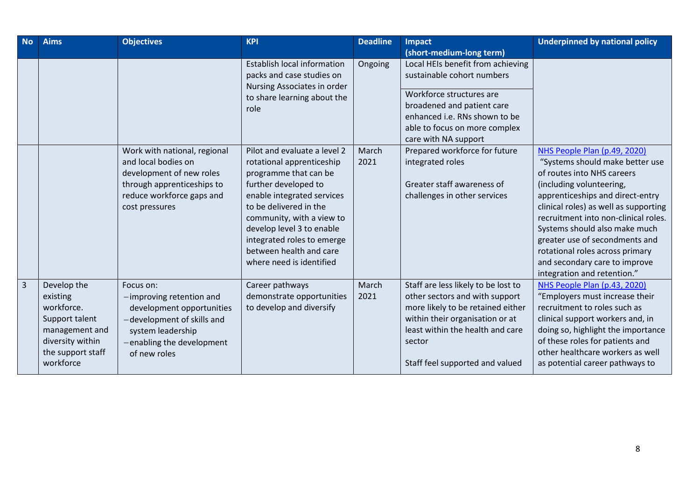| <b>No</b>      | <b>Aims</b>                                                                                                                     | <b>Objectives</b>                                                                                                                                                  | <b>KPI</b>                                                                                                                                                                                                                                                                                                        | <b>Deadline</b> | <b>Impact</b>                                                                                                                                                                                                                  | <b>Underpinned by national policy</b>                                                                                                                                                                                                                                                                                                                                                                                |
|----------------|---------------------------------------------------------------------------------------------------------------------------------|--------------------------------------------------------------------------------------------------------------------------------------------------------------------|-------------------------------------------------------------------------------------------------------------------------------------------------------------------------------------------------------------------------------------------------------------------------------------------------------------------|-----------------|--------------------------------------------------------------------------------------------------------------------------------------------------------------------------------------------------------------------------------|----------------------------------------------------------------------------------------------------------------------------------------------------------------------------------------------------------------------------------------------------------------------------------------------------------------------------------------------------------------------------------------------------------------------|
|                |                                                                                                                                 |                                                                                                                                                                    |                                                                                                                                                                                                                                                                                                                   |                 | (short-medium-long term)                                                                                                                                                                                                       |                                                                                                                                                                                                                                                                                                                                                                                                                      |
|                |                                                                                                                                 |                                                                                                                                                                    | <b>Establish local information</b><br>packs and case studies on<br>Nursing Associates in order<br>to share learning about the<br>role                                                                                                                                                                             | Ongoing         | Local HEIs benefit from achieving<br>sustainable cohort numbers<br>Workforce structures are<br>broadened and patient care<br>enhanced i.e. RNs shown to be<br>able to focus on more complex<br>care with NA support            |                                                                                                                                                                                                                                                                                                                                                                                                                      |
|                |                                                                                                                                 | Work with national, regional<br>and local bodies on<br>development of new roles<br>through apprenticeships to<br>reduce workforce gaps and<br>cost pressures       | Pilot and evaluate a level 2<br>rotational apprenticeship<br>programme that can be<br>further developed to<br>enable integrated services<br>to be delivered in the<br>community, with a view to<br>develop level 3 to enable<br>integrated roles to emerge<br>between health and care<br>where need is identified | March<br>2021   | Prepared workforce for future<br>integrated roles<br>Greater staff awareness of<br>challenges in other services                                                                                                                | NHS People Plan (p.49, 2020)<br>"Systems should make better use<br>of routes into NHS careers<br>(including volunteering,<br>apprenticeships and direct-entry<br>clinical roles) as well as supporting<br>recruitment into non-clinical roles.<br>Systems should also make much<br>greater use of secondments and<br>rotational roles across primary<br>and secondary care to improve<br>integration and retention." |
| $\overline{3}$ | Develop the<br>existing<br>workforce.<br>Support talent<br>management and<br>diversity within<br>the support staff<br>workforce | Focus on:<br>-improving retention and<br>development opportunities<br>-development of skills and<br>system leadership<br>-enabling the development<br>of new roles | Career pathways<br>demonstrate opportunities<br>to develop and diversify                                                                                                                                                                                                                                          | March<br>2021   | Staff are less likely to be lost to<br>other sectors and with support<br>more likely to be retained either<br>within their organisation or at<br>least within the health and care<br>sector<br>Staff feel supported and valued | NHS People Plan (p.43, 2020)<br>"Employers must increase their<br>recruitment to roles such as<br>clinical support workers and, in<br>doing so, highlight the importance<br>of these roles for patients and<br>other healthcare workers as well<br>as potential career pathways to                                                                                                                                   |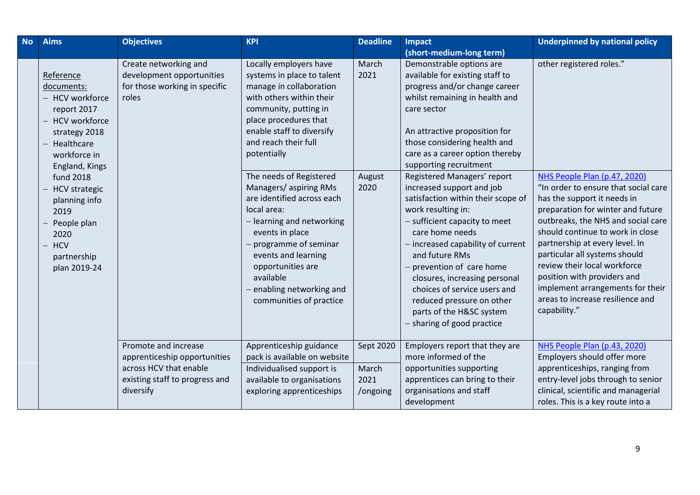| <b>No</b> | <b>Aims</b>                                                                                                                                                                                                                                                                                      | <b>Objectives</b>                                                                            | <b>KPI</b>                                                                                                                                                                                                                                                                                                                                                                                                                                                                                                                | <b>Deadline</b>                 | Impact                                                                                                                                                                                                                                                                                                                                                                                                                                                                                                                                                                                                                                                                                            | <b>Underpinned by national policy</b>                                                                                                                                                                                                                                                                                                                                                                                                                                    |
|-----------|--------------------------------------------------------------------------------------------------------------------------------------------------------------------------------------------------------------------------------------------------------------------------------------------------|----------------------------------------------------------------------------------------------|---------------------------------------------------------------------------------------------------------------------------------------------------------------------------------------------------------------------------------------------------------------------------------------------------------------------------------------------------------------------------------------------------------------------------------------------------------------------------------------------------------------------------|---------------------------------|---------------------------------------------------------------------------------------------------------------------------------------------------------------------------------------------------------------------------------------------------------------------------------------------------------------------------------------------------------------------------------------------------------------------------------------------------------------------------------------------------------------------------------------------------------------------------------------------------------------------------------------------------------------------------------------------------|--------------------------------------------------------------------------------------------------------------------------------------------------------------------------------------------------------------------------------------------------------------------------------------------------------------------------------------------------------------------------------------------------------------------------------------------------------------------------|
|           |                                                                                                                                                                                                                                                                                                  |                                                                                              |                                                                                                                                                                                                                                                                                                                                                                                                                                                                                                                           |                                 | (short-medium-long term)                                                                                                                                                                                                                                                                                                                                                                                                                                                                                                                                                                                                                                                                          |                                                                                                                                                                                                                                                                                                                                                                                                                                                                          |
|           | Reference<br>documents:<br><b>HCV</b> workforce<br>report 2017<br><b>HCV</b> workforce<br>strategy 2018<br>Healthcare<br>workforce in<br>England, Kings<br><b>fund 2018</b><br><b>HCV</b> strategic<br>planning info<br>2019<br>People plan<br>2020<br><b>HCV</b><br>partnership<br>plan 2019-24 | Create networking and<br>development opportunities<br>for those working in specific<br>roles | Locally employers have<br>systems in place to talent<br>manage in collaboration<br>with others within their<br>community, putting in<br>place procedures that<br>enable staff to diversify<br>and reach their full<br>potentially<br>The needs of Registered<br>Managers/aspiring RMs<br>are identified across each<br>local area:<br>- learning and networking<br>events in place<br>programme of seminar<br>events and learning<br>opportunities are<br>available<br>enabling networking and<br>communities of practice | March<br>2021<br>August<br>2020 | Demonstrable options are<br>available for existing staff to<br>progress and/or change career<br>whilst remaining in health and<br>care sector<br>An attractive proposition for<br>those considering health and<br>care as a career option thereby<br>supporting recruitment<br>Registered Managers' report<br>increased support and job<br>satisfaction within their scope of<br>work resulting in:<br>- sufficient capacity to meet<br>care home needs<br>- increased capability of current<br>and future RMs<br>prevention of care home<br>closures, increasing personal<br>choices of service users and<br>reduced pressure on other<br>parts of the H&SC system<br>- sharing of good practice | other registered roles."<br>NHS People Plan (p.47, 2020)<br>"In order to ensure that social care<br>has the support it needs in<br>preparation for winter and future<br>outbreaks, the NHS and social care<br>should continue to work in close<br>partnership at every level. In<br>particular all systems should<br>review their local workforce<br>position with providers and<br>implement arrangements for their<br>areas to increase resilience and<br>capability." |
|           |                                                                                                                                                                                                                                                                                                  | Promote and increase<br>apprenticeship opportunities<br>across HCV that enable               | Apprenticeship guidance<br>pack is available on website<br>Individualised support is                                                                                                                                                                                                                                                                                                                                                                                                                                      | Sept 2020<br>March              | Employers report that they are<br>more informed of the<br>opportunities supporting                                                                                                                                                                                                                                                                                                                                                                                                                                                                                                                                                                                                                | NHS People Plan (p.43, 2020)<br>Employers should offer more<br>apprenticeships, ranging from                                                                                                                                                                                                                                                                                                                                                                             |
|           |                                                                                                                                                                                                                                                                                                  | existing staff to progress and<br>diversify                                                  | available to organisations<br>exploring apprenticeships                                                                                                                                                                                                                                                                                                                                                                                                                                                                   | 2021<br>/ongoing                | apprentices can bring to their<br>organisations and staff<br>development                                                                                                                                                                                                                                                                                                                                                                                                                                                                                                                                                                                                                          | entry-level jobs through to senior<br>clinical, scientific and managerial<br>roles. This is a key route into a                                                                                                                                                                                                                                                                                                                                                           |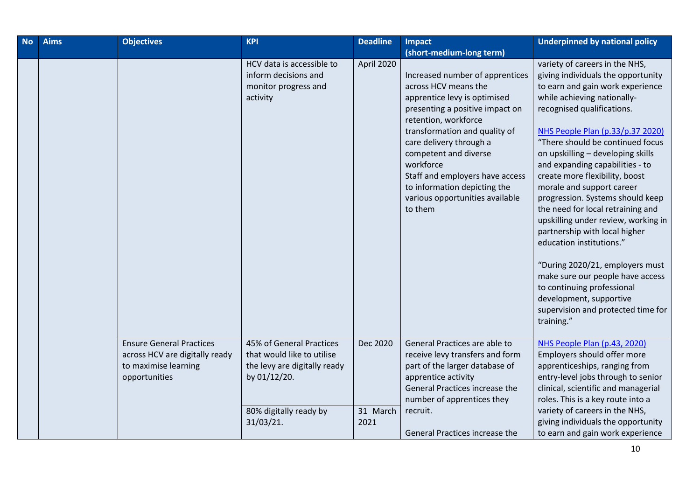| <b>No</b> | <b>Aims</b> | <b>Objectives</b>                                                                                          | <b>KPI</b>                                                                                                                                    | <b>Deadline</b>              | <b>Impact</b>                                                                                                                                                                                                                                                                                                                                                         | <b>Underpinned by national policy</b>                                                                                                                                                                                                                                                                                                                                                                                                                                                                                                                                                                                                                                                                                                                 |
|-----------|-------------|------------------------------------------------------------------------------------------------------------|-----------------------------------------------------------------------------------------------------------------------------------------------|------------------------------|-----------------------------------------------------------------------------------------------------------------------------------------------------------------------------------------------------------------------------------------------------------------------------------------------------------------------------------------------------------------------|-------------------------------------------------------------------------------------------------------------------------------------------------------------------------------------------------------------------------------------------------------------------------------------------------------------------------------------------------------------------------------------------------------------------------------------------------------------------------------------------------------------------------------------------------------------------------------------------------------------------------------------------------------------------------------------------------------------------------------------------------------|
|           |             |                                                                                                            |                                                                                                                                               |                              | (short-medium-long term)                                                                                                                                                                                                                                                                                                                                              |                                                                                                                                                                                                                                                                                                                                                                                                                                                                                                                                                                                                                                                                                                                                                       |
|           |             |                                                                                                            | HCV data is accessible to<br>inform decisions and<br>monitor progress and<br>activity                                                         | April 2020                   | Increased number of apprentices<br>across HCV means the<br>apprentice levy is optimised<br>presenting a positive impact on<br>retention, workforce<br>transformation and quality of<br>care delivery through a<br>competent and diverse<br>workforce<br>Staff and employers have access<br>to information depicting the<br>various opportunities available<br>to them | variety of careers in the NHS,<br>giving individuals the opportunity<br>to earn and gain work experience<br>while achieving nationally-<br>recognised qualifications.<br>NHS People Plan (p.33/p.37 2020)<br>"There should be continued focus<br>on upskilling - developing skills<br>and expanding capabilities - to<br>create more flexibility, boost<br>morale and support career<br>progression. Systems should keep<br>the need for local retraining and<br>upskilling under review, working in<br>partnership with local higher<br>education institutions."<br>"During 2020/21, employers must<br>make sure our people have access<br>to continuing professional<br>development, supportive<br>supervision and protected time for<br>training." |
|           |             | <b>Ensure General Practices</b><br>across HCV are digitally ready<br>to maximise learning<br>opportunities | 45% of General Practices<br>that would like to utilise<br>the levy are digitally ready<br>by 01/12/20.<br>80% digitally ready by<br>31/03/21. | Dec 2020<br>31 March<br>2021 | General Practices are able to<br>receive levy transfers and form<br>part of the larger database of<br>apprentice activity<br>General Practices increase the<br>number of apprentices they<br>recruit.<br>General Practices increase the                                                                                                                               | NHS People Plan (p.43, 2020)<br>Employers should offer more<br>apprenticeships, ranging from<br>entry-level jobs through to senior<br>clinical, scientific and managerial<br>roles. This is a key route into a<br>variety of careers in the NHS,<br>giving individuals the opportunity<br>to earn and gain work experience                                                                                                                                                                                                                                                                                                                                                                                                                            |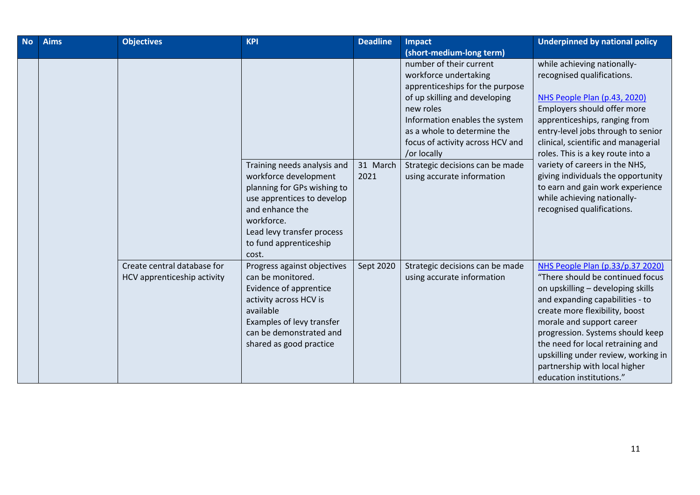| <b>No</b> | <b>Aims</b> | <b>Objectives</b>                                          | <b>KPI</b>                                                                                                                                                                                                    | <b>Deadline</b>  | <b>Impact</b>                                                                                                                                                                                                                                                                                                          | <b>Underpinned by national policy</b>                                                                                                                                                                                                                                                                                                                                                                                                                |
|-----------|-------------|------------------------------------------------------------|---------------------------------------------------------------------------------------------------------------------------------------------------------------------------------------------------------------|------------------|------------------------------------------------------------------------------------------------------------------------------------------------------------------------------------------------------------------------------------------------------------------------------------------------------------------------|------------------------------------------------------------------------------------------------------------------------------------------------------------------------------------------------------------------------------------------------------------------------------------------------------------------------------------------------------------------------------------------------------------------------------------------------------|
|           |             |                                                            |                                                                                                                                                                                                               |                  | (short-medium-long term)                                                                                                                                                                                                                                                                                               |                                                                                                                                                                                                                                                                                                                                                                                                                                                      |
|           |             |                                                            | Training needs analysis and<br>workforce development<br>planning for GPs wishing to<br>use apprentices to develop<br>and enhance the<br>workforce.<br>Lead levy transfer process<br>to fund apprenticeship    | 31 March<br>2021 | number of their current<br>workforce undertaking<br>apprenticeships for the purpose<br>of up skilling and developing<br>new roles<br>Information enables the system<br>as a whole to determine the<br>focus of activity across HCV and<br>/or locally<br>Strategic decisions can be made<br>using accurate information | while achieving nationally-<br>recognised qualifications.<br>NHS People Plan (p.43, 2020)<br>Employers should offer more<br>apprenticeships, ranging from<br>entry-level jobs through to senior<br>clinical, scientific and managerial<br>roles. This is a key route into a<br>variety of careers in the NHS,<br>giving individuals the opportunity<br>to earn and gain work experience<br>while achieving nationally-<br>recognised qualifications. |
|           |             | Create central database for<br>HCV apprenticeship activity | cost.<br>Progress against objectives<br>can be monitored.<br>Evidence of apprentice<br>activity across HCV is<br>available<br>Examples of levy transfer<br>can be demonstrated and<br>shared as good practice | Sept 2020        | Strategic decisions can be made<br>using accurate information                                                                                                                                                                                                                                                          | NHS People Plan (p.33/p.37 2020)<br>"There should be continued focus<br>on upskilling - developing skills<br>and expanding capabilities - to<br>create more flexibility, boost<br>morale and support career<br>progression. Systems should keep<br>the need for local retraining and<br>upskilling under review, working in<br>partnership with local higher<br>education institutions."                                                             |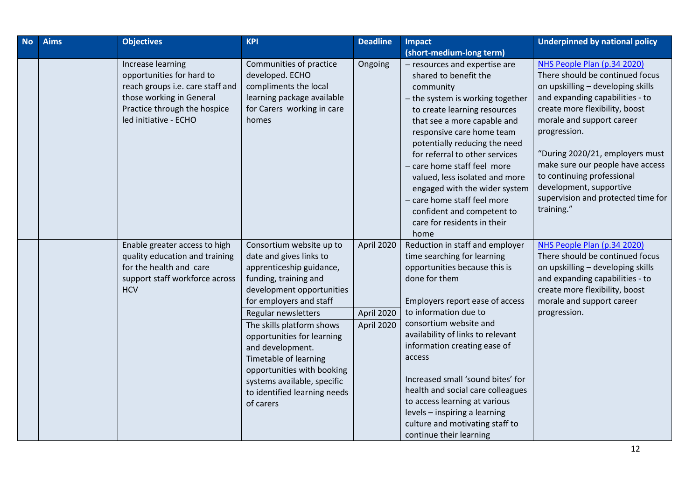| <b>No</b> | <b>Aims</b> | <b>Objectives</b>                                                                                                                                                       | <b>KPI</b>                                                                                                                                                                                                                                                                                                                                                                                                | <b>Deadline</b>                        | <b>Impact</b><br>(short-medium-long term)                                                                                                                                                                                                                                                                                                                                                                                                                                                       | <b>Underpinned by national policy</b>                                                                                                                                                                                                                                                                                                                                                                     |
|-----------|-------------|-------------------------------------------------------------------------------------------------------------------------------------------------------------------------|-----------------------------------------------------------------------------------------------------------------------------------------------------------------------------------------------------------------------------------------------------------------------------------------------------------------------------------------------------------------------------------------------------------|----------------------------------------|-------------------------------------------------------------------------------------------------------------------------------------------------------------------------------------------------------------------------------------------------------------------------------------------------------------------------------------------------------------------------------------------------------------------------------------------------------------------------------------------------|-----------------------------------------------------------------------------------------------------------------------------------------------------------------------------------------------------------------------------------------------------------------------------------------------------------------------------------------------------------------------------------------------------------|
|           |             | Increase learning<br>opportunities for hard to<br>reach groups i.e. care staff and<br>those working in General<br>Practice through the hospice<br>led initiative - ECHO | Communities of practice<br>developed. ECHO<br>compliments the local<br>learning package available<br>for Carers working in care<br>homes                                                                                                                                                                                                                                                                  | Ongoing                                | - resources and expertise are<br>shared to benefit the<br>community<br>- the system is working together<br>to create learning resources<br>that see a more capable and<br>responsive care home team<br>potentially reducing the need<br>for referral to other services<br>- care home staff feel more<br>valued, less isolated and more<br>engaged with the wider system<br>- care home staff feel more<br>confident and competent to<br>care for residents in their<br>home                    | NHS People Plan (p.34 2020)<br>There should be continued focus<br>on upskilling - developing skills<br>and expanding capabilities - to<br>create more flexibility, boost<br>morale and support career<br>progression.<br>"During 2020/21, employers must<br>make sure our people have access<br>to continuing professional<br>development, supportive<br>supervision and protected time for<br>training." |
|           |             | Enable greater access to high<br>quality education and training<br>for the health and care<br>support staff workforce across<br><b>HCV</b>                              | Consortium website up to<br>date and gives links to<br>apprenticeship guidance,<br>funding, training and<br>development opportunities<br>for employers and staff<br>Regular newsletters<br>The skills platform shows<br>opportunities for learning<br>and development.<br>Timetable of learning<br>opportunities with booking<br>systems available, specific<br>to identified learning needs<br>of carers | April 2020<br>April 2020<br>April 2020 | Reduction in staff and employer<br>time searching for learning<br>opportunities because this is<br>done for them<br>Employers report ease of access<br>to information due to<br>consortium website and<br>availability of links to relevant<br>information creating ease of<br>access<br>Increased small 'sound bites' for<br>health and social care colleagues<br>to access learning at various<br>levels - inspiring a learning<br>culture and motivating staff to<br>continue their learning | NHS People Plan (p.34 2020)<br>There should be continued focus<br>on upskilling - developing skills<br>and expanding capabilities - to<br>create more flexibility, boost<br>morale and support career<br>progression.                                                                                                                                                                                     |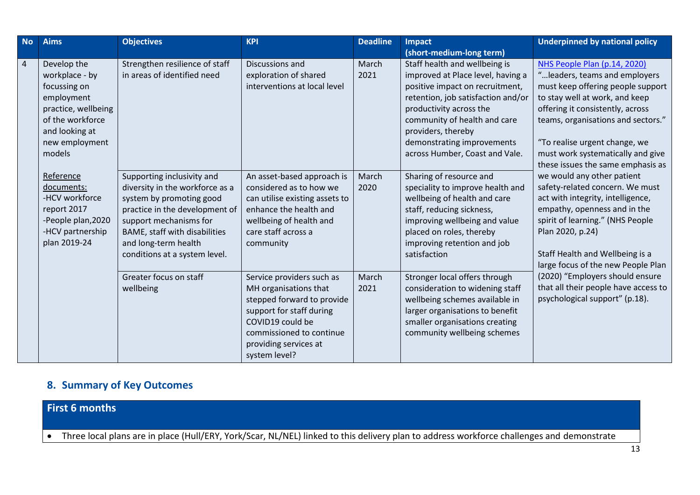| <b>No</b>      | <b>Aims</b>                                                                                                                                          | <b>Objectives</b>                                                                                                                                                                                                                               | <b>KPI</b>                                                                                                                                                                                             | <b>Deadline</b> | <b>Impact</b>                                                                                                                                                                                                                                                                                | <b>Underpinned by national policy</b>                                                                                                                                                                                                                                                                                                                                                                                                                                                                                                                                                                                                                                                                          |
|----------------|------------------------------------------------------------------------------------------------------------------------------------------------------|-------------------------------------------------------------------------------------------------------------------------------------------------------------------------------------------------------------------------------------------------|--------------------------------------------------------------------------------------------------------------------------------------------------------------------------------------------------------|-----------------|----------------------------------------------------------------------------------------------------------------------------------------------------------------------------------------------------------------------------------------------------------------------------------------------|----------------------------------------------------------------------------------------------------------------------------------------------------------------------------------------------------------------------------------------------------------------------------------------------------------------------------------------------------------------------------------------------------------------------------------------------------------------------------------------------------------------------------------------------------------------------------------------------------------------------------------------------------------------------------------------------------------------|
|                |                                                                                                                                                      |                                                                                                                                                                                                                                                 |                                                                                                                                                                                                        |                 | (short-medium-long term)                                                                                                                                                                                                                                                                     |                                                                                                                                                                                                                                                                                                                                                                                                                                                                                                                                                                                                                                                                                                                |
| $\overline{4}$ | Develop the<br>workplace - by<br>focussing on<br>employment<br>practice, wellbeing<br>of the workforce<br>and looking at<br>new employment<br>models | Strengthen resilience of staff<br>in areas of identified need                                                                                                                                                                                   | Discussions and<br>exploration of shared<br>interventions at local level                                                                                                                               | March<br>2021   | Staff health and wellbeing is<br>improved at Place level, having a<br>positive impact on recruitment,<br>retention, job satisfaction and/or<br>productivity across the<br>community of health and care<br>providers, thereby<br>demonstrating improvements<br>across Humber, Coast and Vale. | NHS People Plan (p.14, 2020)<br>" leaders, teams and employers<br>must keep offering people support<br>to stay well at work, and keep<br>offering it consistently, across<br>teams, organisations and sectors."<br>"To realise urgent change, we<br>must work systematically and give<br>these issues the same emphasis as<br>we would any other patient<br>safety-related concern. We must<br>act with integrity, intelligence,<br>empathy, openness and in the<br>spirit of learning." (NHS People<br>Plan 2020, p.24)<br>Staff Health and Wellbeing is a<br>large focus of the new People Plan<br>(2020) "Employers should ensure<br>that all their people have access to<br>psychological support" (p.18). |
|                | Reference<br>documents:<br>-HCV workforce<br>report 2017<br>-People plan, 2020<br>-HCV partnership<br>plan 2019-24                                   | Supporting inclusivity and<br>diversity in the workforce as a<br>system by promoting good<br>practice in the development of<br>support mechanisms for<br>BAME, staff with disabilities<br>and long-term health<br>conditions at a system level. | An asset-based approach is<br>considered as to how we<br>can utilise existing assets to<br>enhance the health and<br>wellbeing of health and<br>care staff across a<br>community                       | March<br>2020   | Sharing of resource and<br>speciality to improve health and<br>wellbeing of health and care<br>staff, reducing sickness,<br>improving wellbeing and value<br>placed on roles, thereby<br>improving retention and job<br>satisfaction                                                         |                                                                                                                                                                                                                                                                                                                                                                                                                                                                                                                                                                                                                                                                                                                |
|                |                                                                                                                                                      | Greater focus on staff<br>wellbeing                                                                                                                                                                                                             | Service providers such as<br>MH organisations that<br>stepped forward to provide<br>support for staff during<br>COVID19 could be<br>commissioned to continue<br>providing services at<br>system level? | March<br>2021   | Stronger local offers through<br>consideration to widening staff<br>wellbeing schemes available in<br>larger organisations to benefit<br>smaller organisations creating<br>community wellbeing schemes                                                                                       |                                                                                                                                                                                                                                                                                                                                                                                                                                                                                                                                                                                                                                                                                                                |

### **8. Summary of Key Outcomes**

**First 6 months**

Three local plans are in place (Hull/ERY, York/Scar, NL/NEL) linked to this delivery plan to address workforce challenges and demonstrate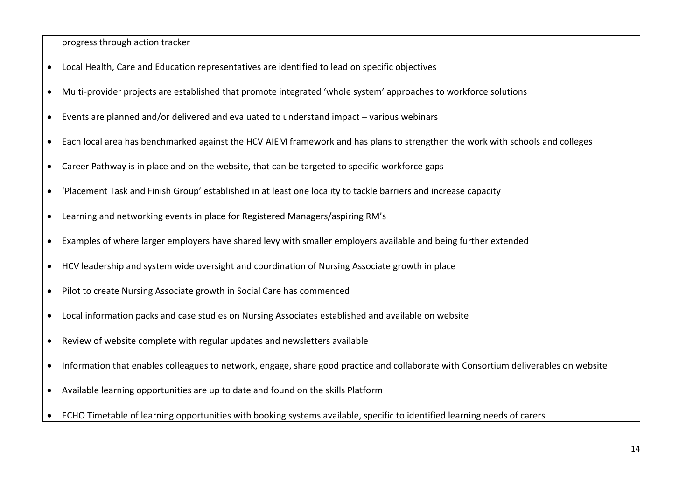progress through action tracker

- Local Health, Care and Education representatives are identified to lead on specific objectives
- Multi-provider projects are established that promote integrated 'whole system' approaches to workforce solutions
- Events are planned and/or delivered and evaluated to understand impact various webinars
- Each local area has benchmarked against the HCV AIEM framework and has plans to strengthen the work with schools and colleges
- Career Pathway is in place and on the website, that can be targeted to specific workforce gaps
- 'Placement Task and Finish Group' established in at least one locality to tackle barriers and increase capacity
- Learning and networking events in place for Registered Managers/aspiring RM's
- Examples of where larger employers have shared levy with smaller employers available and being further extended
- HCV leadership and system wide oversight and coordination of Nursing Associate growth in place
- Pilot to create Nursing Associate growth in Social Care has commenced
- Local information packs and case studies on Nursing Associates established and available on website
- Review of website complete with regular updates and newsletters available
- Information that enables colleagues to network, engage, share good practice and collaborate with Consortium deliverables on website
- Available learning opportunities are up to date and found on the skills Platform
- ECHO Timetable of learning opportunities with booking systems available, specific to identified learning needs of carers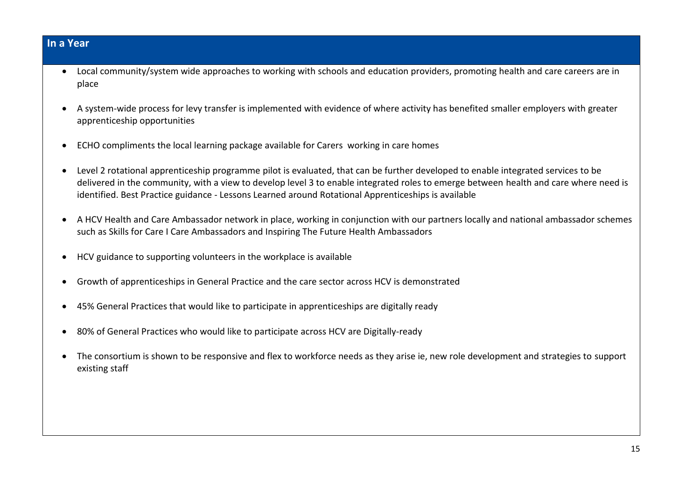#### **In a Year**

- Local community/system wide approaches to working with schools and education providers, promoting health and care careers are in place
- A system-wide process for levy transfer is implemented with evidence of where activity has benefited smaller employers with greater apprenticeship opportunities
- ECHO compliments the local learning package available for Carers working in care homes
- Level 2 rotational apprenticeship programme pilot is evaluated, that can be further developed to enable integrated services to be delivered in the community, with a view to develop level 3 to enable integrated roles to emerge between health and care where need is identified. Best Practice guidance - Lessons Learned around Rotational Apprenticeships is available
- A HCV Health and Care Ambassador network in place, working in conjunction with our partners locally and national ambassador schemes such as Skills for Care I Care Ambassadors and Inspiring The Future Health Ambassadors
- HCV guidance to supporting volunteers in the workplace is available
- Growth of apprenticeships in General Practice and the care sector across HCV is demonstrated
- 45% General Practices that would like to participate in apprenticeships are digitally ready
- 80% of General Practices who would like to participate across HCV are Digitally-ready
- The consortium is shown to be responsive and flex to workforce needs as they arise ie, new role development and strategies to support existing staff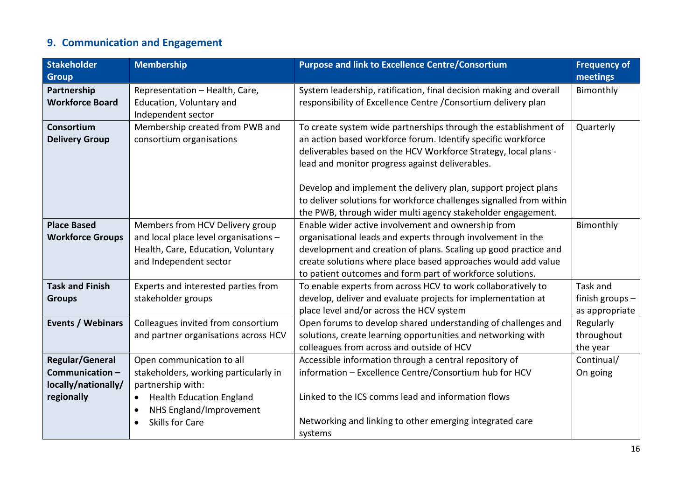## **9. Communication and Engagement**

| <b>Stakeholder</b>      | <b>Membership</b>                            | <b>Purpose and link to Excellence Centre/Consortium</b>             |                 |
|-------------------------|----------------------------------------------|---------------------------------------------------------------------|-----------------|
| <b>Group</b>            |                                              |                                                                     | meetings        |
| Partnership             | Representation - Health, Care,               | System leadership, ratification, final decision making and overall  | Bimonthly       |
| <b>Workforce Board</b>  | Education, Voluntary and                     | responsibility of Excellence Centre / Consortium delivery plan      |                 |
|                         | Independent sector                           |                                                                     |                 |
| Consortium              | Membership created from PWB and              | To create system wide partnerships through the establishment of     | Quarterly       |
| <b>Delivery Group</b>   | consortium organisations                     | an action based workforce forum. Identify specific workforce        |                 |
|                         |                                              | deliverables based on the HCV Workforce Strategy, local plans -     |                 |
|                         |                                              | lead and monitor progress against deliverables.                     |                 |
|                         |                                              | Develop and implement the delivery plan, support project plans      |                 |
|                         |                                              | to deliver solutions for workforce challenges signalled from within |                 |
|                         |                                              | the PWB, through wider multi agency stakeholder engagement.         |                 |
| <b>Place Based</b>      | Members from HCV Delivery group              | Enable wider active involvement and ownership from                  | Bimonthly       |
| <b>Workforce Groups</b> | and local place level organisations -        | organisational leads and experts through involvement in the         |                 |
|                         | Health, Care, Education, Voluntary           | development and creation of plans. Scaling up good practice and     |                 |
|                         | and Independent sector                       | create solutions where place based approaches would add value       |                 |
|                         |                                              | to patient outcomes and form part of workforce solutions.           |                 |
| <b>Task and Finish</b>  | Experts and interested parties from          | To enable experts from across HCV to work collaboratively to        | Task and        |
| <b>Groups</b>           | stakeholder groups                           | develop, deliver and evaluate projects for implementation at        | finish groups - |
|                         |                                              | place level and/or across the HCV system                            | as appropriate  |
| Events / Webinars       | Colleagues invited from consortium           | Open forums to develop shared understanding of challenges and       | Regularly       |
|                         | and partner organisations across HCV         | solutions, create learning opportunities and networking with        | throughout      |
|                         |                                              | colleagues from across and outside of HCV                           | the year        |
| <b>Regular/General</b>  | Open communication to all                    | Accessible information through a central repository of              | Continual/      |
| Communication-          | stakeholders, working particularly in        | information - Excellence Centre/Consortium hub for HCV              | On going        |
| locally/nationally/     | partnership with:                            |                                                                     |                 |
| regionally              | <b>Health Education England</b><br>$\bullet$ | Linked to the ICS comms lead and information flows                  |                 |
|                         | NHS England/Improvement<br>$\bullet$         |                                                                     |                 |
|                         | <b>Skills for Care</b>                       | Networking and linking to other emerging integrated care            |                 |
|                         |                                              | systems                                                             |                 |